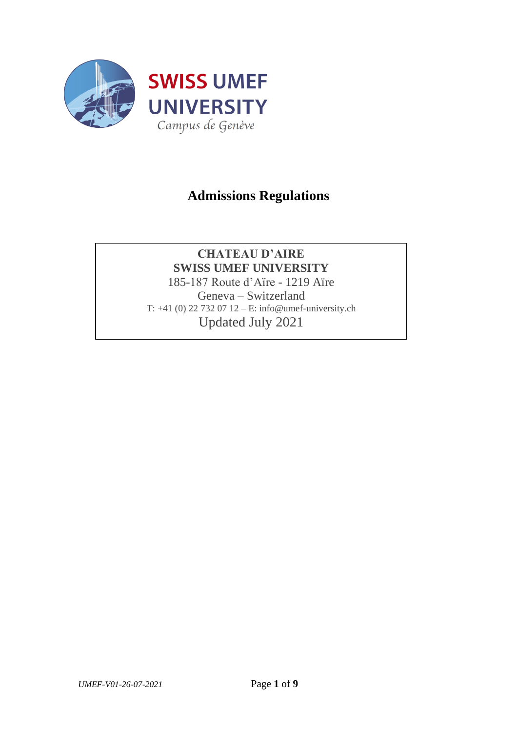

# **Admissions Regulations**

## **CHATEAU D'AIRE SWISS UMEF UNIVERSITY**

185-187 Route d'Aïre - 1219 Aïre Geneva – Switzerland T: +41 (0) 22 732 07 12 – E: info@umef-university.ch Updated July 2021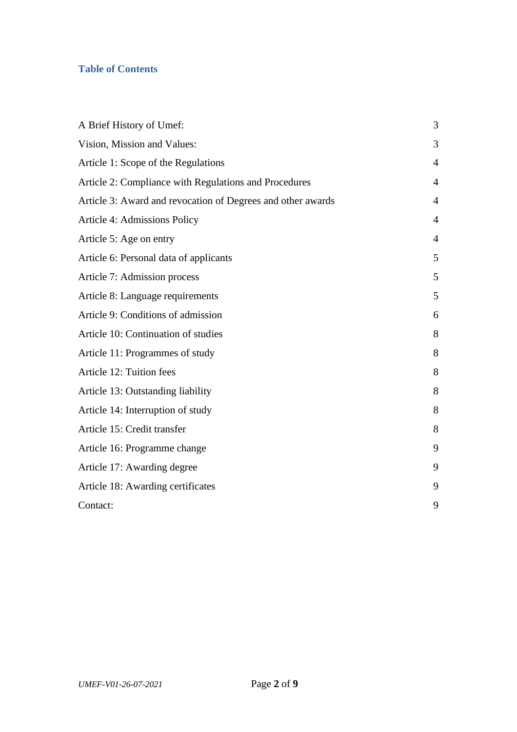# **Table of Contents**

| A Brief History of Umef:                                    | 3              |
|-------------------------------------------------------------|----------------|
| Vision, Mission and Values:                                 | 3              |
| Article 1: Scope of the Regulations                         | $\overline{4}$ |
| Article 2: Compliance with Regulations and Procedures       | $\overline{4}$ |
| Article 3: Award and revocation of Degrees and other awards | 4              |
| <b>Article 4: Admissions Policy</b>                         | $\overline{4}$ |
| Article 5: Age on entry                                     | $\overline{4}$ |
| Article 6: Personal data of applicants                      | 5              |
| Article 7: Admission process                                | 5              |
| Article 8: Language requirements                            | 5              |
| Article 9: Conditions of admission                          | 6              |
| Article 10: Continuation of studies                         | 8              |
| Article 11: Programmes of study                             | 8              |
| Article 12: Tuition fees                                    | 8              |
| Article 13: Outstanding liability                           | 8              |
| Article 14: Interruption of study                           | 8              |
| Article 15: Credit transfer                                 | 8              |
| Article 16: Programme change                                | 9              |
| Article 17: Awarding degree                                 | 9              |
| Article 18: Awarding certificates                           | 9              |
| Contact:                                                    | 9              |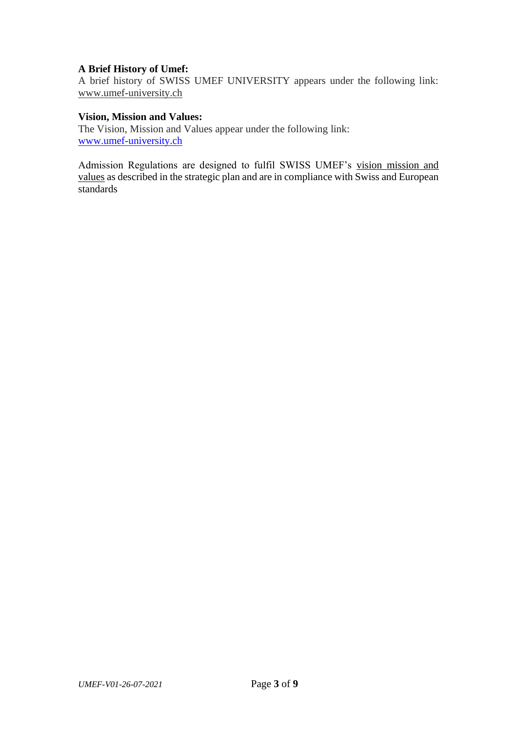## <span id="page-2-0"></span>**A Brief History of Umef:**

A brief history of SWISS UMEF UNIVERSITY appears under the following link: [www.umef-university.ch](https://en.umef-university.ch/historie-geneve-suisse)

#### <span id="page-2-1"></span>**Vision, Mission and Values:**

The Vision, Mission and Values appear under the following link: [www.umef-university.ch](http://www.umef-university.ch/)

Admission Regulations are designed to fulfil SWISS UMEF's [vision mission and](https://en.umef-university.ch/notre-vision)  [values](https://en.umef-university.ch/notre-vision) as described in the strategic plan and are in compliance with Swiss and European standards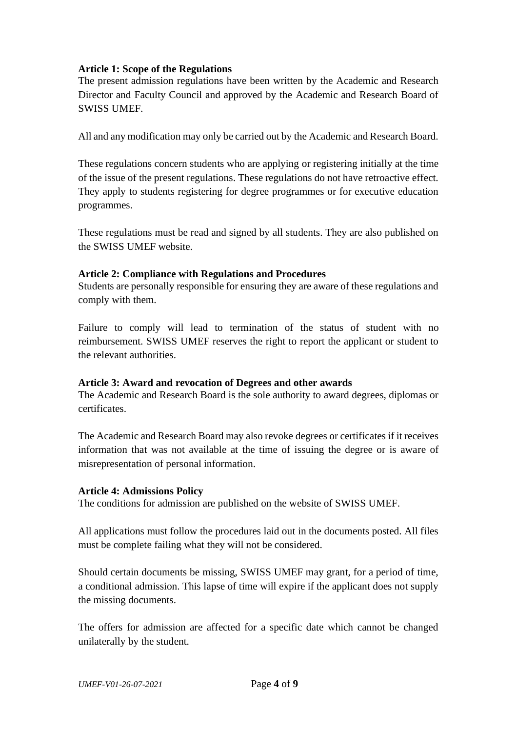## <span id="page-3-0"></span>**Article 1: Scope of the Regulations**

The present admission regulations have been written by the Academic and Research Director and Faculty Council and approved by the Academic and Research Board of SWISS UMEF.

All and any modification may only be carried out by the Academic and Research Board.

These regulations concern students who are applying or registering initially at the time of the issue of the present regulations. These regulations do not have retroactive effect. They apply to students registering for degree programmes or for executive education programmes.

These regulations must be read and signed by all students. They are also published on the SWISS UMEF website.

#### <span id="page-3-1"></span>**Article 2: Compliance with Regulations and Procedures**

Students are personally responsible for ensuring they are aware of these regulations and comply with them.

Failure to comply will lead to termination of the status of student with no reimbursement. SWISS UMEF reserves the right to report the applicant or student to the relevant authorities.

#### <span id="page-3-2"></span>**Article 3: Award and revocation of Degrees and other awards**

The Academic and Research Board is the sole authority to award degrees, diplomas or certificates.

The Academic and Research Board may also revoke degrees or certificates if it receives information that was not available at the time of issuing the degree or is aware of misrepresentation of personal information.

#### <span id="page-3-3"></span>**Article 4: Admissions Policy**

The conditions for admission are published on the website of SWISS UMEF.

All applications must follow the procedures laid out in the documents posted. All files must be complete failing what they will not be considered.

Should certain documents be missing, SWISS UMEF may grant, for a period of time, a conditional admission. This lapse of time will expire if the applicant does not supply the missing documents.

The offers for admission are affected for a specific date which cannot be changed unilaterally by the student.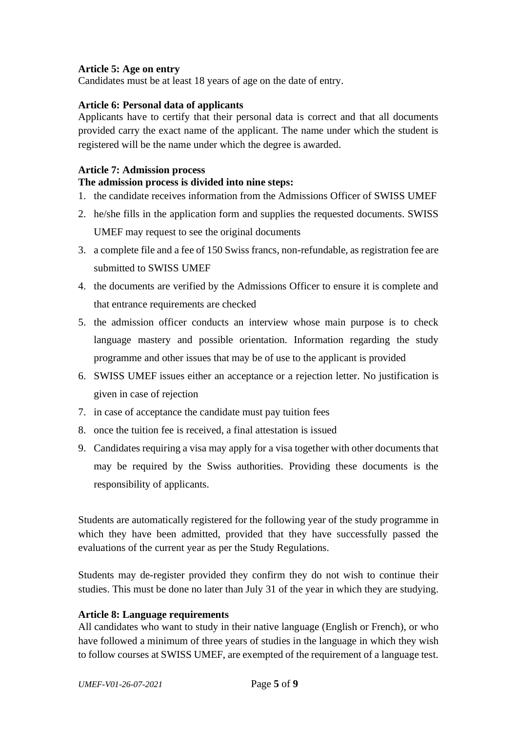## <span id="page-4-0"></span>**Article 5: Age on entry**

Candidates must be at least 18 years of age on the date of entry.

## <span id="page-4-1"></span>**Article 6: Personal data of applicants**

Applicants have to certify that their personal data is correct and that all documents provided carry the exact name of the applicant. The name under which the student is registered will be the name under which the degree is awarded.

## <span id="page-4-2"></span>**Article 7: Admission process**

## **The admission process is divided into nine steps:**

- 1. the candidate receives information from the Admissions Officer of SWISS UMEF
- 2. he/she fills in the application form and supplies the requested documents. SWISS UMEF may request to see the original documents
- 3. a complete file and a fee of 150 Swiss francs, non-refundable, as registration fee are submitted to SWISS UMEF
- 4. the documents are verified by the Admissions Officer to ensure it is complete and that entrance requirements are checked
- 5. the admission officer conducts an interview whose main purpose is to check language mastery and possible orientation. Information regarding the study programme and other issues that may be of use to the applicant is provided
- 6. SWISS UMEF issues either an acceptance or a rejection letter. No justification is given in case of rejection
- 7. in case of acceptance the candidate must pay tuition fees
- 8. once the tuition fee is received, a final attestation is issued
- 9. Candidates requiring a visa may apply for a visa together with other documents that may be required by the Swiss authorities. Providing these documents is the responsibility of applicants.

Students are automatically registered for the following year of the study programme in which they have been admitted, provided that they have successfully passed the evaluations of the current year as per the Study Regulations.

Students may de-register provided they confirm they do not wish to continue their studies. This must be done no later than July 31 of the year in which they are studying.

#### <span id="page-4-3"></span>**Article 8: Language requirements**

All candidates who want to study in their native language (English or French), or who have followed a minimum of three years of studies in the language in which they wish to follow courses at SWISS UMEF, are exempted of the requirement of a language test.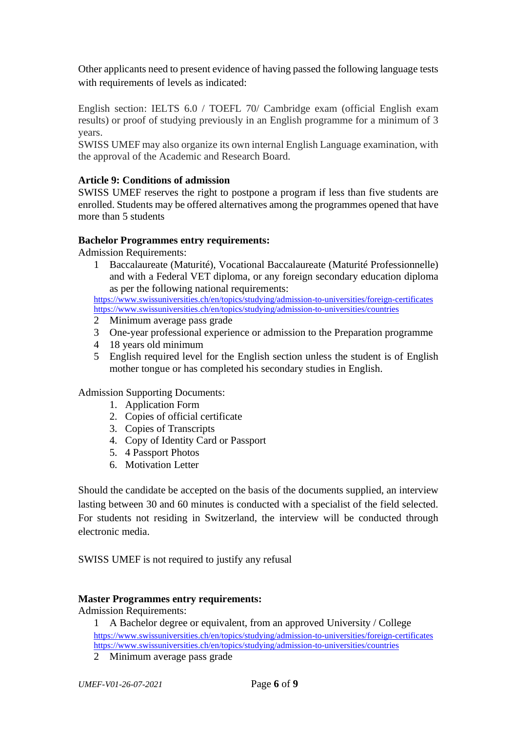Other applicants need to present evidence of having passed the following language tests with requirements of levels as indicated:

English section: IELTS 6.0 / TOEFL 70/ Cambridge exam (official English exam results) or proof of studying previously in an English programme for a minimum of 3 years.

SWISS UMEF may also organize its own internal English Language examination, with the approval of the Academic and Research Board.

## <span id="page-5-0"></span>**Article 9: Conditions of admission**

SWISS UMEF reserves the right to postpone a program if less than five students are enrolled. Students may be offered alternatives among the programmes opened that have more than 5 students

## **Bachelor Programmes entry requirements:**

Admission Requirements:

1 Baccalaureate (Maturité), Vocational Baccalaureate (Maturité Professionnelle) and with a Federal VET diploma, or any foreign secondary education diploma as per the following national requirements:

<https://www.swissuniversities.ch/en/topics/studying/admission-to-universities/foreign-certificates> <https://www.swissuniversities.ch/en/topics/studying/admission-to-universities/countries>

- 2 Minimum average pass grade
- 3 One-year professional experience or admission to the Preparation programme
- 4 18 years old minimum
- 5 English required level for the English section unless the student is of English mother tongue or has completed his secondary studies in English.

Admission Supporting Documents:

- 1. Application Form
- 2. Copies of official certificate
- 3. Copies of Transcripts
- 4. Copy of Identity Card or Passport
- 5. 4 Passport Photos
- 6. Motivation Letter

Should the candidate be accepted on the basis of the documents supplied, an interview lasting between 30 and 60 minutes is conducted with a specialist of the field selected. For students not residing in Switzerland, the interview will be conducted through electronic media.

SWISS UMEF is not required to justify any refusal

#### **Master Programmes entry requirements:**

Admission Requirements:

1 A Bachelor degree or equivalent, from an approved University / College <https://www.swissuniversities.ch/en/topics/studying/admission-to-universities/foreign-certificates> <https://www.swissuniversities.ch/en/topics/studying/admission-to-universities/countries>

2 Minimum average pass grade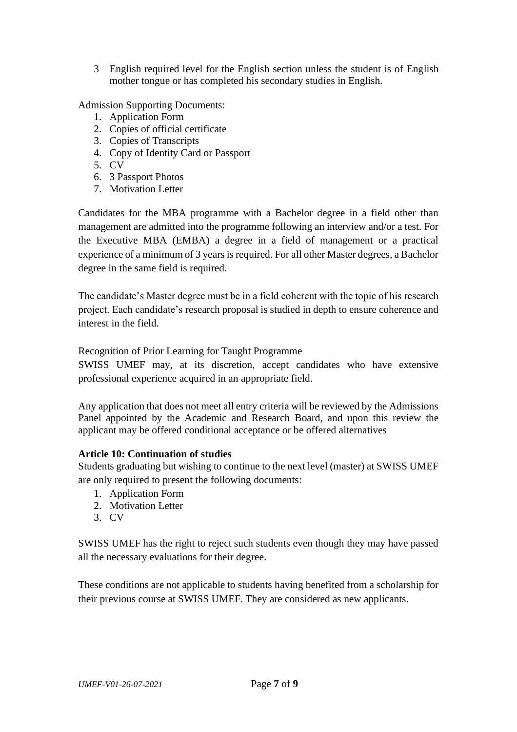3 English required level for the English section unless the student is of English mother tongue or has completed his secondary studies in English.

Admission Supporting Documents:

- 1. Application Form
- 2. Copies of official certificate
- 3. Copies of Transcripts
- 4. Copy of Identity Card or Passport
- 5. CV
- 6. 3 Passport Photos
- 7. Motivation Letter

Candidates for the MBA programme with a Bachelor degree in a field other than management are admitted into the programme following an interview and/or a test. For the Executive MBA (EMBA) a degree in a field of management or a practical experience of a minimum of 3 years is required. For all other Master degrees, a Bachelor degree in the same field is required.

The candidate's Master degree must be in a field coherent with the topic of his research project. Each candidate's research proposal is studied in depth to ensure coherence and interest in the field.

Recognition of Prior Learning for Taught Programme

SWISS UMEF may, at its discretion, accept candidates who have extensive professional experience acquired in an appropriate field.

Any application that does not meet all entry criteria will be reviewed by the Admissions Panel appointed by the Academic and Research Board, and upon this review the applicant may be offered conditional acceptance or be offered alternatives

## <span id="page-6-0"></span>**Article 10: Continuation of studies**

Students graduating but wishing to continue to the next level (master) at SWISS UMEF are only required to present the following documents:

- 1. Application Form
- 2. Motivation Letter
- 3. CV

SWISS UMEF has the right to reject such students even though they may have passed all the necessary evaluations for their degree.

These conditions are not applicable to students having benefited from a scholarship for their previous course at SWISS UMEF. They are considered as new applicants.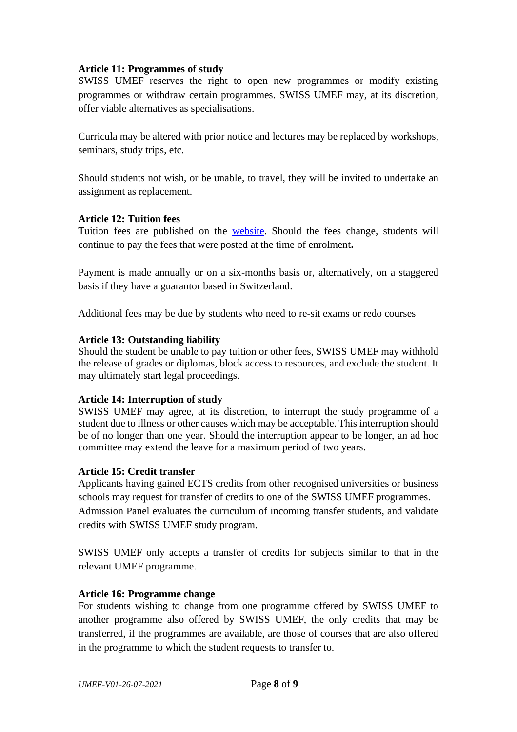## <span id="page-7-0"></span>**Article 11: Programmes of study**

SWISS UMEF reserves the right to open new programmes or modify existing programmes or withdraw certain programmes. SWISS UMEF may, at its discretion, offer viable alternatives as specialisations.

Curricula may be altered with prior notice and lectures may be replaced by workshops, seminars, study trips, etc.

Should students not wish, or be unable, to travel, they will be invited to undertake an assignment as replacement.

## <span id="page-7-1"></span>**Article 12: Tuition fees**

Tuition fees are published on the [website.](https://en.umef-university.ch/frais-de-scolarite-universite) Should the fees change, students will continue to pay the fees that were posted at the time of enrolment**.**

Payment is made annually or on a six-months basis or, alternatively, on a staggered basis if they have a guarantor based in Switzerland.

Additional fees may be due by students who need to re-sit exams or redo courses

## <span id="page-7-2"></span>**Article 13: Outstanding liability**

Should the student be unable to pay tuition or other fees, SWISS UMEF may withhold the release of grades or diplomas, block access to resources, and exclude the student. It may ultimately start legal proceedings.

#### <span id="page-7-3"></span>**Article 14: Interruption of study**

SWISS UMEF may agree, at its discretion, to interrupt the study programme of a student due to illness or other causes which may be acceptable. This interruption should be of no longer than one year. Should the interruption appear to be longer, an ad hoc committee may extend the leave for a maximum period of two years.

#### <span id="page-7-4"></span>**Article 15: Credit transfer**

Applicants having gained ECTS credits from other recognised universities or business schools may request for transfer of credits to one of the SWISS UMEF programmes. Admission Panel evaluates the curriculum of incoming transfer students, and validate credits with SWISS UMEF study program.

SWISS UMEF only accepts a transfer of credits for subjects similar to that in the relevant UMEF programme.

#### <span id="page-7-5"></span>**Article 16: Programme change**

For students wishing to change from one programme offered by SWISS UMEF to another programme also offered by SWISS UMEF, the only credits that may be transferred, if the programmes are available, are those of courses that are also offered in the programme to which the student requests to transfer to.